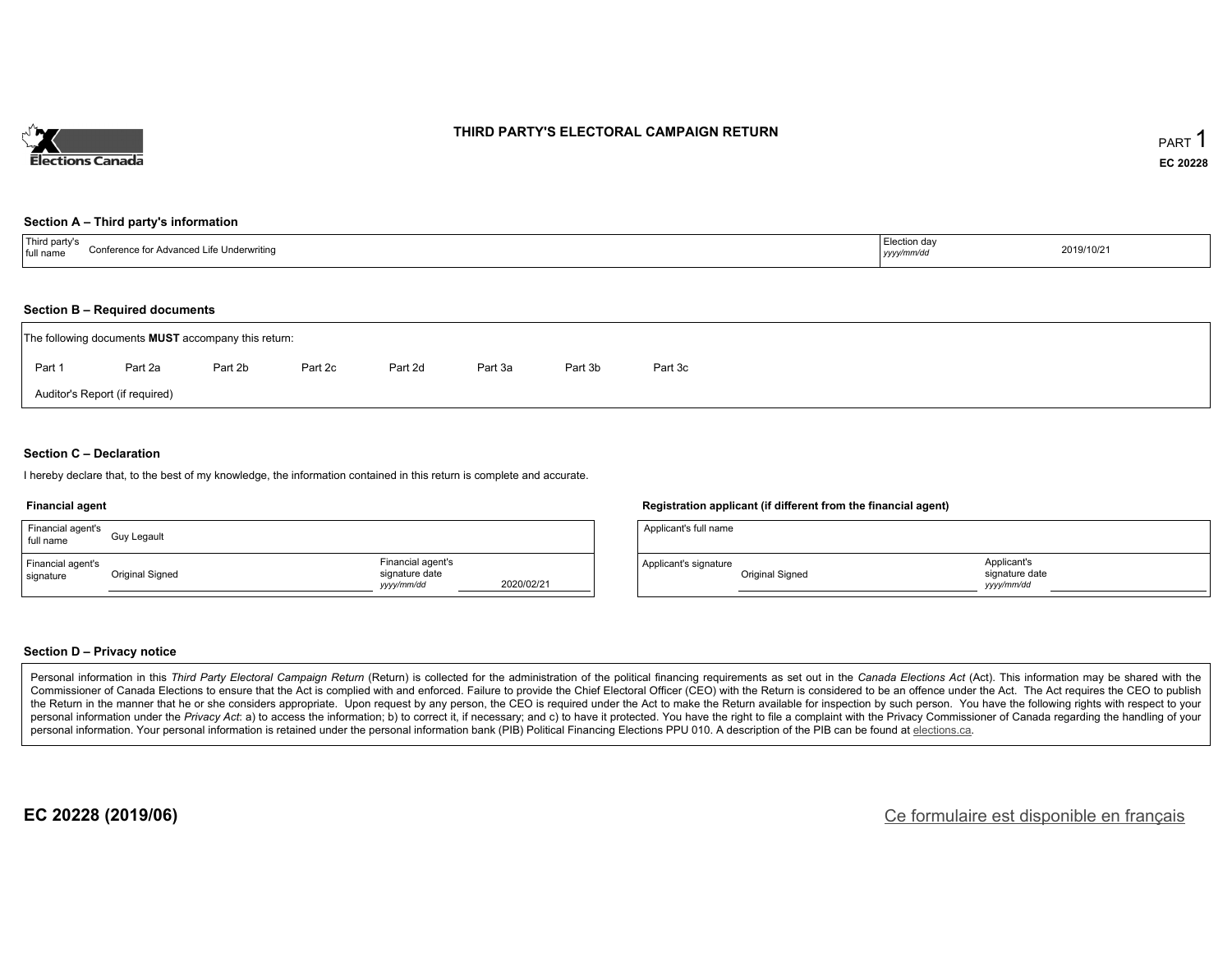

### **THIRD PARTY'S ELECTORAL CAMPAIGN RETURN**

#### **Section A – Third party's information**

| $^{\mathrm{+}}$ Thira .<br>Conferen<br>e Underwritinc<br>ence for Advanced Life<br>full name | uion dav<br>-------<br>, yyyyı | 2019/10/21 |
|----------------------------------------------------------------------------------------------|--------------------------------|------------|
|----------------------------------------------------------------------------------------------|--------------------------------|------------|

#### **Section B – Required documents**

|        | The following documents <b>MUST</b> accompany this return: |         |         |         |         |         |         |  |  |  |  |  |
|--------|------------------------------------------------------------|---------|---------|---------|---------|---------|---------|--|--|--|--|--|
| Part 1 | Part 2a                                                    | Part 2b | Part 2c | Part 2d | Part 3a | Part 3b | Part 3c |  |  |  |  |  |
|        | Auditor's Report (if required)                             |         |         |         |         |         |         |  |  |  |  |  |

### **Section C – Declaration**

I hereby declare that, to the best of my knowledge, the information contained in this return is complete and accurate.

#### **Financial agent**

| Financial agent's<br>full name | Guy Legault     |                                                   |            |
|--------------------------------|-----------------|---------------------------------------------------|------------|
| Financial agent's<br>signature | Original Signed | Financial agent's<br>signature date<br>yyyy/mm/dd | 2020/02/21 |

#### **Registration applicant (if different from the financial agent)**

| Applicant's full name |                 |                                            |  |
|-----------------------|-----------------|--------------------------------------------|--|
| Applicant's signature | Original Signed | Applicant's<br>signature date<br>vyy/mm/dd |  |

#### **Section D – Privacy notice**

Personal information in this Third Party Electoral Campaign Return (Return) is collected for the administration of the political financing requirements as set out in the Canada Elections Act (Act). This information may be Commissioner of Canada Elections to ensure that the Act is complied with and enforced. Failure to provide the Chief Electoral Officer (CEO) with the Return is considered to be an offence under the Act. The Act requires the the Return in the manner that he or she considers appropriate. Upon request by any person, the CEO is required under the Act to make the Return available for inspection by such person. You have the following rights with re personal information under the Privacy Act: a) to access the information; b) to correct it, if necessary; and c) to have it protected. You have the right to file a complaint with the Privacy Commissioner of Canada regardin personal information. Your personal information is retained under the personal information bank (PIB) Political Financing Elections PPU 010. A description of the PIB can be found at elections.ca.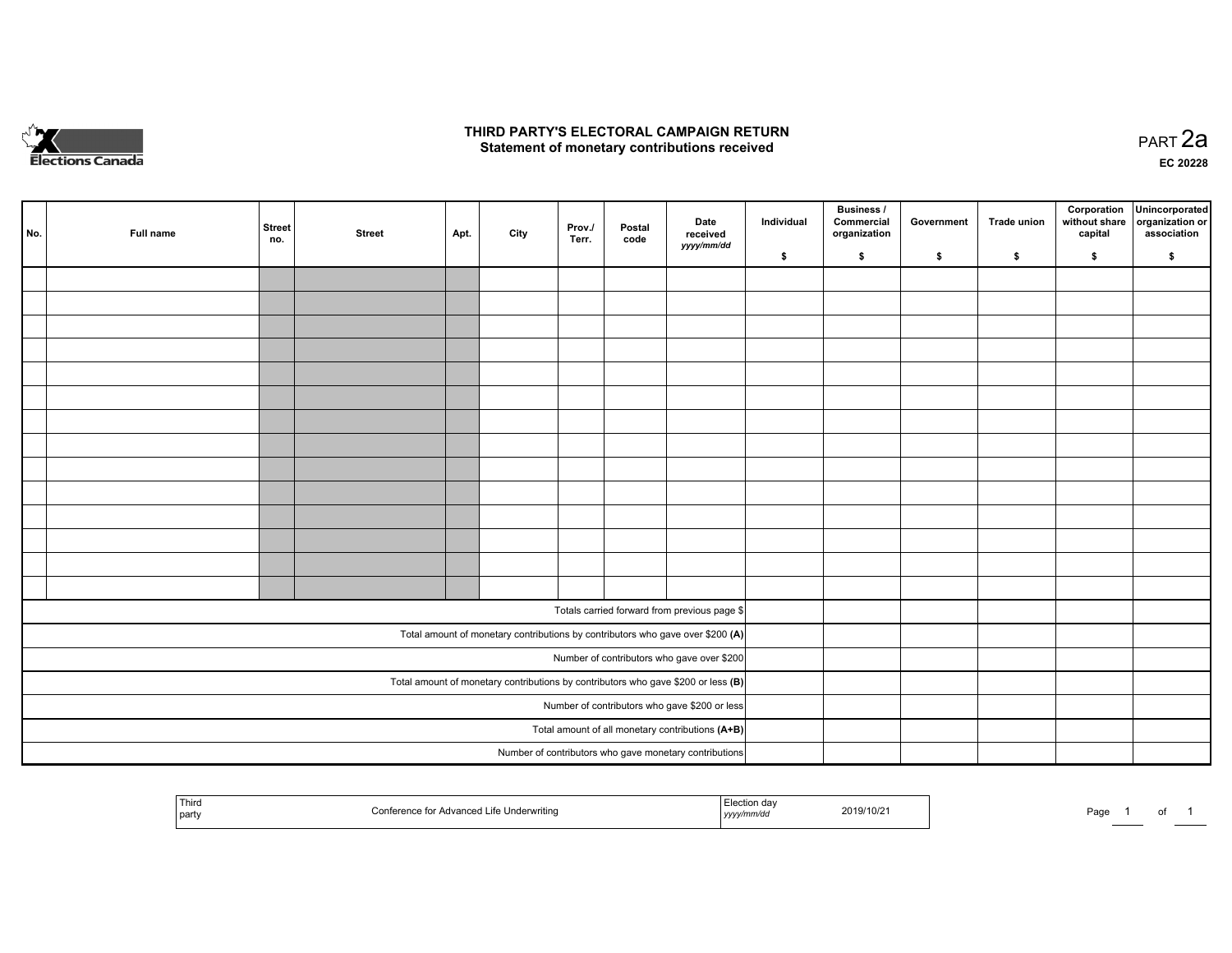

### **THIRD PARTY'S ELECTORAL CAMPAIGN RETURN HIRD PARTY'S ELECTORAL CAMPAIGN RETURN<br>Statement of monetary contributions received PART 2a PART 2a**

**EC 20228**

| No. | Full name                                     | <b>Street</b><br>no.                             | <b>Street</b> | Apt. | City | Prov./<br>Terr. | Postal<br>code | Date<br>received                                                                    | Individual | <b>Business /</b><br>Commercial<br>organization | Government | Trade union | Corporation<br>without share<br>capital | Unincorporated<br>organization or<br>association |
|-----|-----------------------------------------------|--------------------------------------------------|---------------|------|------|-----------------|----------------|-------------------------------------------------------------------------------------|------------|-------------------------------------------------|------------|-------------|-----------------------------------------|--------------------------------------------------|
|     |                                               |                                                  |               |      |      |                 |                | yyyy/mm/dd                                                                          | \$         | \$                                              | \$         | \$          | \$                                      | \$                                               |
|     |                                               |                                                  |               |      |      |                 |                |                                                                                     |            |                                                 |            |             |                                         |                                                  |
|     |                                               |                                                  |               |      |      |                 |                |                                                                                     |            |                                                 |            |             |                                         |                                                  |
|     |                                               |                                                  |               |      |      |                 |                |                                                                                     |            |                                                 |            |             |                                         |                                                  |
|     |                                               |                                                  |               |      |      |                 |                |                                                                                     |            |                                                 |            |             |                                         |                                                  |
|     |                                               |                                                  |               |      |      |                 |                |                                                                                     |            |                                                 |            |             |                                         |                                                  |
|     |                                               |                                                  |               |      |      |                 |                |                                                                                     |            |                                                 |            |             |                                         |                                                  |
|     |                                               |                                                  |               |      |      |                 |                |                                                                                     |            |                                                 |            |             |                                         |                                                  |
|     |                                               |                                                  |               |      |      |                 |                |                                                                                     |            |                                                 |            |             |                                         |                                                  |
|     |                                               |                                                  |               |      |      |                 |                |                                                                                     |            |                                                 |            |             |                                         |                                                  |
|     |                                               |                                                  |               |      |      |                 |                |                                                                                     |            |                                                 |            |             |                                         |                                                  |
|     |                                               |                                                  |               |      |      |                 |                |                                                                                     |            |                                                 |            |             |                                         |                                                  |
|     |                                               |                                                  |               |      |      |                 |                |                                                                                     |            |                                                 |            |             |                                         |                                                  |
|     |                                               |                                                  |               |      |      |                 |                |                                                                                     |            |                                                 |            |             |                                         |                                                  |
|     |                                               |                                                  |               |      |      |                 |                |                                                                                     |            |                                                 |            |             |                                         |                                                  |
|     |                                               |                                                  |               |      |      |                 |                | Totals carried forward from previous page \$                                        |            |                                                 |            |             |                                         |                                                  |
|     |                                               |                                                  |               |      |      |                 |                | Total amount of monetary contributions by contributors who gave over \$200 (A)      |            |                                                 |            |             |                                         |                                                  |
|     |                                               |                                                  |               |      |      |                 |                | Number of contributors who gave over \$200                                          |            |                                                 |            |             |                                         |                                                  |
|     |                                               |                                                  |               |      |      |                 |                | Total amount of monetary contributions by contributors who gave \$200 or less $(B)$ |            |                                                 |            |             |                                         |                                                  |
|     | Number of contributors who gave \$200 or less |                                                  |               |      |      |                 |                |                                                                                     |            |                                                 |            |             |                                         |                                                  |
|     |                                               | Total amount of all monetary contributions (A+B) |               |      |      |                 |                |                                                                                     |            |                                                 |            |             |                                         |                                                  |
|     |                                               |                                                  |               |      |      |                 |                | Number of contributors who gave monetary contributions                              |            |                                                 |            |             |                                         |                                                  |

|  | Thira<br>  party | ≅Underwritina<br>`ontoro:<br>Advance | williwac<br>,,,, | 2019/10/2 | $P$ aqe |  | $\cdot$ |  |
|--|------------------|--------------------------------------|------------------|-----------|---------|--|---------|--|
|--|------------------|--------------------------------------|------------------|-----------|---------|--|---------|--|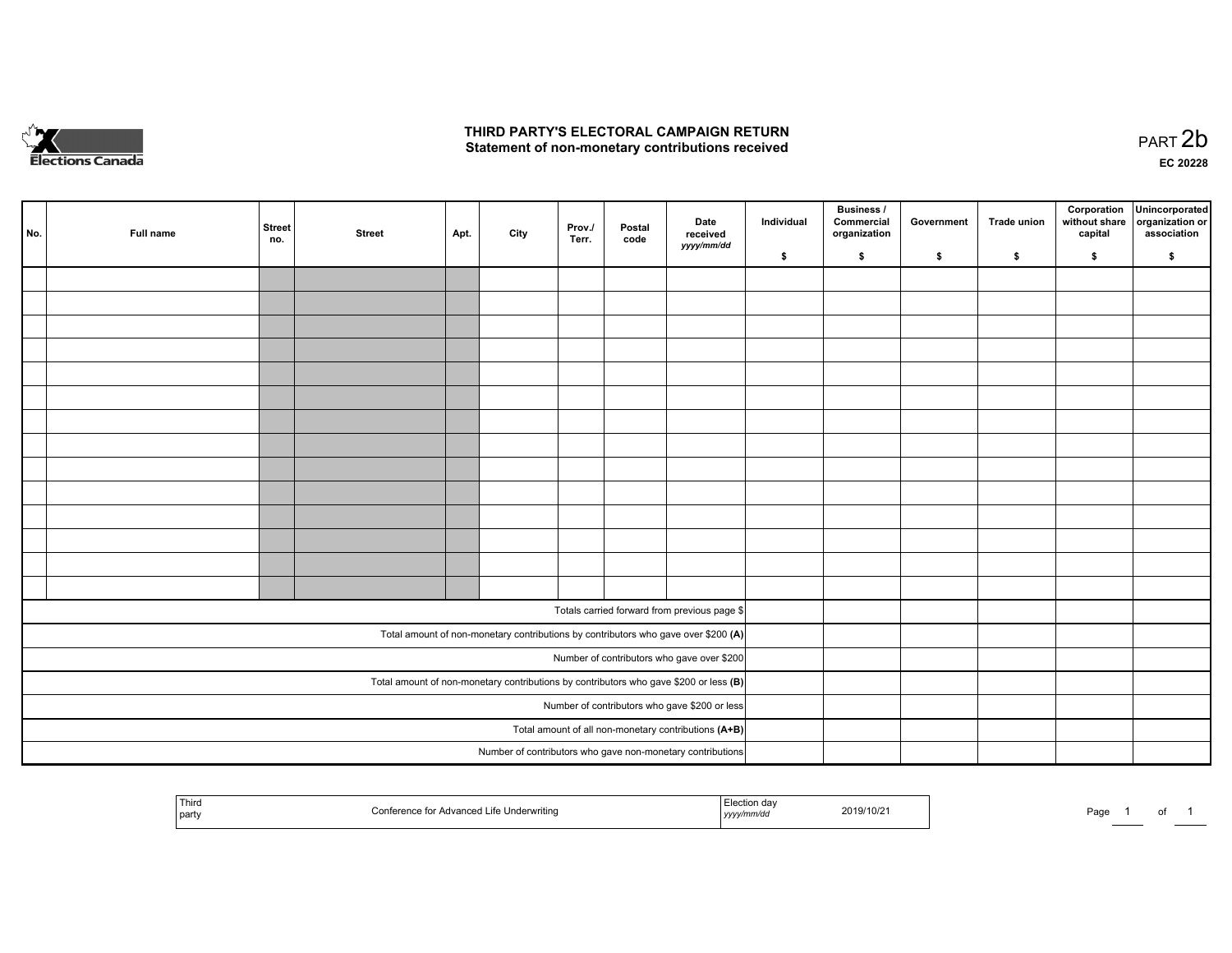

## **THIRD PARTY'S ELECTORAL CAMPAIGN RETURN**  THIRD PARTY'S ELECTORAL CAMPAIGN RETURN<br>Statement of non-monetary contributions received

of 1

| No. | Full name                                            | <b>Street</b><br>no. | <b>Street</b> | Apt. | City | Prov./<br>Terr. | Postal<br>code | Date<br>received<br>yyyy/mm/dd                                                          | Individual | <b>Business /</b><br>Commercial<br>organization | Government | Trade union | Corporation<br>without share<br>capital | Unincorporated<br>organization or<br>association |
|-----|------------------------------------------------------|----------------------|---------------|------|------|-----------------|----------------|-----------------------------------------------------------------------------------------|------------|-------------------------------------------------|------------|-------------|-----------------------------------------|--------------------------------------------------|
|     |                                                      |                      |               |      |      |                 |                |                                                                                         | \$         | \$                                              | \$         | \$          | \$                                      | \$                                               |
|     |                                                      |                      |               |      |      |                 |                |                                                                                         |            |                                                 |            |             |                                         |                                                  |
|     |                                                      |                      |               |      |      |                 |                |                                                                                         |            |                                                 |            |             |                                         |                                                  |
|     |                                                      |                      |               |      |      |                 |                |                                                                                         |            |                                                 |            |             |                                         |                                                  |
|     |                                                      |                      |               |      |      |                 |                |                                                                                         |            |                                                 |            |             |                                         |                                                  |
|     |                                                      |                      |               |      |      |                 |                |                                                                                         |            |                                                 |            |             |                                         |                                                  |
|     |                                                      |                      |               |      |      |                 |                |                                                                                         |            |                                                 |            |             |                                         |                                                  |
|     |                                                      |                      |               |      |      |                 |                |                                                                                         |            |                                                 |            |             |                                         |                                                  |
|     |                                                      |                      |               |      |      |                 |                |                                                                                         |            |                                                 |            |             |                                         |                                                  |
|     |                                                      |                      |               |      |      |                 |                |                                                                                         |            |                                                 |            |             |                                         |                                                  |
|     |                                                      |                      |               |      |      |                 |                |                                                                                         |            |                                                 |            |             |                                         |                                                  |
|     |                                                      |                      |               |      |      |                 |                |                                                                                         |            |                                                 |            |             |                                         |                                                  |
|     |                                                      |                      |               |      |      |                 |                |                                                                                         |            |                                                 |            |             |                                         |                                                  |
|     |                                                      |                      |               |      |      |                 |                |                                                                                         |            |                                                 |            |             |                                         |                                                  |
|     |                                                      |                      |               |      |      |                 |                |                                                                                         |            |                                                 |            |             |                                         |                                                  |
|     |                                                      |                      |               |      |      |                 |                |                                                                                         |            |                                                 |            |             |                                         |                                                  |
|     |                                                      |                      |               |      |      |                 |                | Totals carried forward from previous page \$                                            |            |                                                 |            |             |                                         |                                                  |
|     |                                                      |                      |               |      |      |                 |                | Total amount of non-monetary contributions by contributors who gave over \$200 (A)      |            |                                                 |            |             |                                         |                                                  |
|     |                                                      |                      |               |      |      |                 |                | Number of contributors who gave over \$200                                              |            |                                                 |            |             |                                         |                                                  |
|     |                                                      |                      |               |      |      |                 |                | Total amount of non-monetary contributions by contributors who gave \$200 or less $(B)$ |            |                                                 |            |             |                                         |                                                  |
|     | Number of contributors who gave \$200 or less        |                      |               |      |      |                 |                |                                                                                         |            |                                                 |            |             |                                         |                                                  |
|     | Total amount of all non-monetary contributions (A+B) |                      |               |      |      |                 |                |                                                                                         |            |                                                 |            |             |                                         |                                                  |
|     |                                                      |                      |               |      |      |                 |                | Number of contributors who gave non-monetary contributions                              |            |                                                 |            |             |                                         |                                                  |
|     |                                                      |                      |               |      |      |                 |                |                                                                                         |            |                                                 |            |             |                                         |                                                  |

| ' Thira<br>' Life Underwritina<br>Advanced<br>'onterence to:<br>  party | aa<br>2019/10/21<br>mm⁄ac<br>,,,,, | Doc<br>aut |
|-------------------------------------------------------------------------|------------------------------------|------------|
|-------------------------------------------------------------------------|------------------------------------|------------|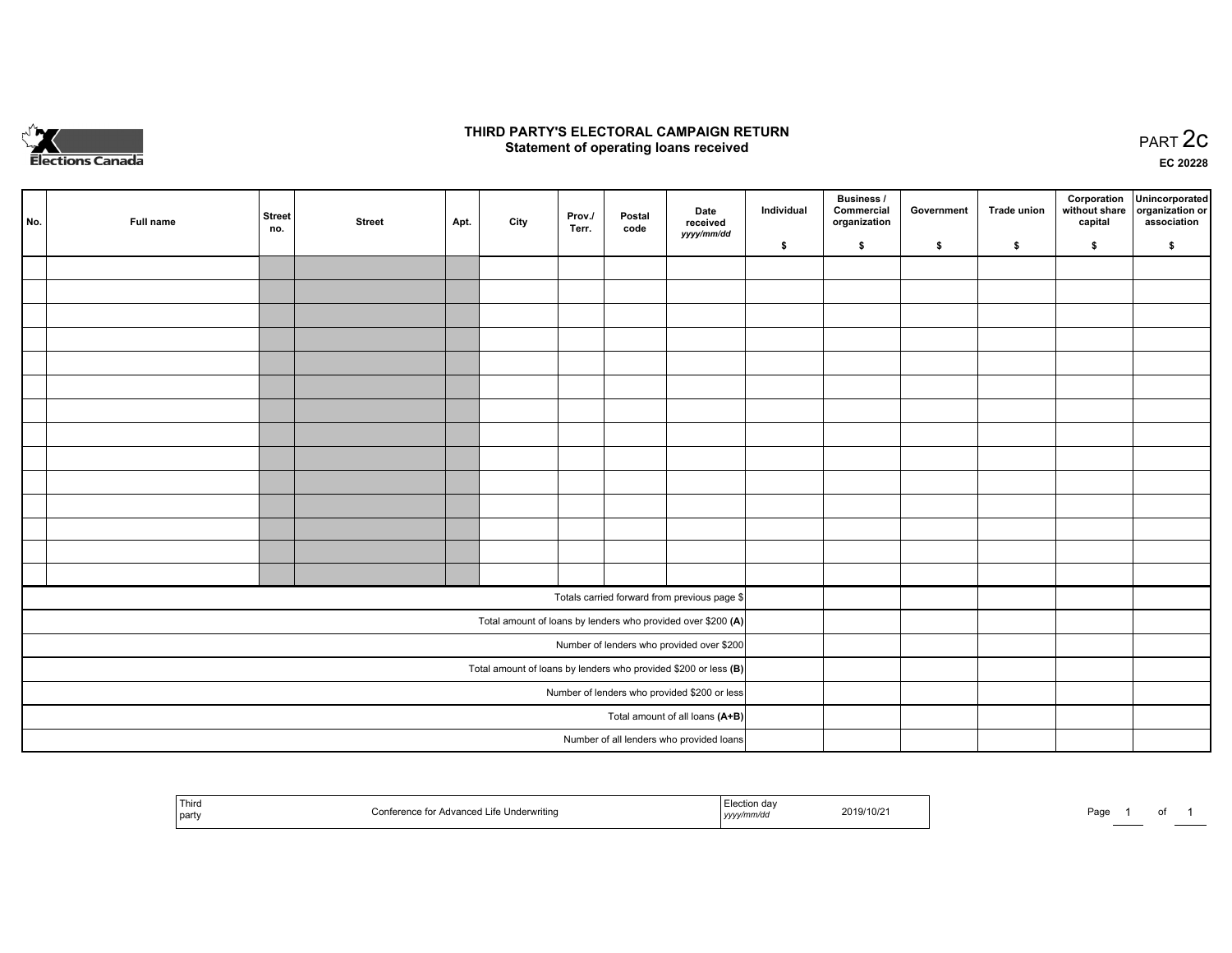

## **THIRD PARTY'S ELECTORAL CAMPAIGN RETURN STATE:** PRACT OF OPPRESS TO PART 2C STATE STATE STATE STATE STATE STATE STATE STATE STATE STATE STATE STATE STA<br>PART 2C Statement of operating loans received

**EC 20228**

| No.                                          | Full name | <b>Street</b><br>no. | <b>Street</b> | Apt. | City | Prov./<br>Terr. | Postal<br>code | Date<br>received                                                | Individual | <b>Business /</b><br>Commercial<br>organization | Government | <b>Trade union</b> | Corporation<br>capital | Unincorporated<br>without share   organization or<br>association |
|----------------------------------------------|-----------|----------------------|---------------|------|------|-----------------|----------------|-----------------------------------------------------------------|------------|-------------------------------------------------|------------|--------------------|------------------------|------------------------------------------------------------------|
|                                              |           |                      |               |      |      |                 |                | yyyy/mm/dd                                                      | \$         | \$                                              | \$         | \$                 | \$                     | \$                                                               |
|                                              |           |                      |               |      |      |                 |                |                                                                 |            |                                                 |            |                    |                        |                                                                  |
|                                              |           |                      |               |      |      |                 |                |                                                                 |            |                                                 |            |                    |                        |                                                                  |
|                                              |           |                      |               |      |      |                 |                |                                                                 |            |                                                 |            |                    |                        |                                                                  |
|                                              |           |                      |               |      |      |                 |                |                                                                 |            |                                                 |            |                    |                        |                                                                  |
|                                              |           |                      |               |      |      |                 |                |                                                                 |            |                                                 |            |                    |                        |                                                                  |
|                                              |           |                      |               |      |      |                 |                |                                                                 |            |                                                 |            |                    |                        |                                                                  |
|                                              |           |                      |               |      |      |                 |                |                                                                 |            |                                                 |            |                    |                        |                                                                  |
|                                              |           |                      |               |      |      |                 |                |                                                                 |            |                                                 |            |                    |                        |                                                                  |
|                                              |           |                      |               |      |      |                 |                |                                                                 |            |                                                 |            |                    |                        |                                                                  |
|                                              |           |                      |               |      |      |                 |                |                                                                 |            |                                                 |            |                    |                        |                                                                  |
|                                              |           |                      |               |      |      |                 |                |                                                                 |            |                                                 |            |                    |                        |                                                                  |
|                                              |           |                      |               |      |      |                 |                |                                                                 |            |                                                 |            |                    |                        |                                                                  |
|                                              |           |                      |               |      |      |                 |                |                                                                 |            |                                                 |            |                    |                        |                                                                  |
|                                              |           |                      |               |      |      |                 |                |                                                                 |            |                                                 |            |                    |                        |                                                                  |
|                                              |           |                      |               |      |      |                 |                | Totals carried forward from previous page \$                    |            |                                                 |            |                    |                        |                                                                  |
|                                              |           |                      |               |      |      |                 |                | Total amount of loans by lenders who provided over \$200 (A)    |            |                                                 |            |                    |                        |                                                                  |
|                                              |           |                      |               |      |      |                 |                | Number of lenders who provided over \$200                       |            |                                                 |            |                    |                        |                                                                  |
|                                              |           |                      |               |      |      |                 |                | Total amount of loans by lenders who provided \$200 or less (B) |            |                                                 |            |                    |                        |                                                                  |
| Number of lenders who provided \$200 or less |           |                      |               |      |      |                 |                |                                                                 |            |                                                 |            |                    |                        |                                                                  |
| Total amount of all loans (A+B)              |           |                      |               |      |      |                 |                |                                                                 |            |                                                 |            |                    |                        |                                                                  |
|                                              |           |                      |               |      |      |                 |                | Number of all lenders who provided loans                        |            |                                                 |            |                    |                        |                                                                  |

| Third<br>∵Advanced Life Underwriting.<br>∗o tor<br>party | ,,,,, | 2019/10/21 | Page |  |  |
|----------------------------------------------------------|-------|------------|------|--|--|
|----------------------------------------------------------|-------|------------|------|--|--|

Page 1 of 1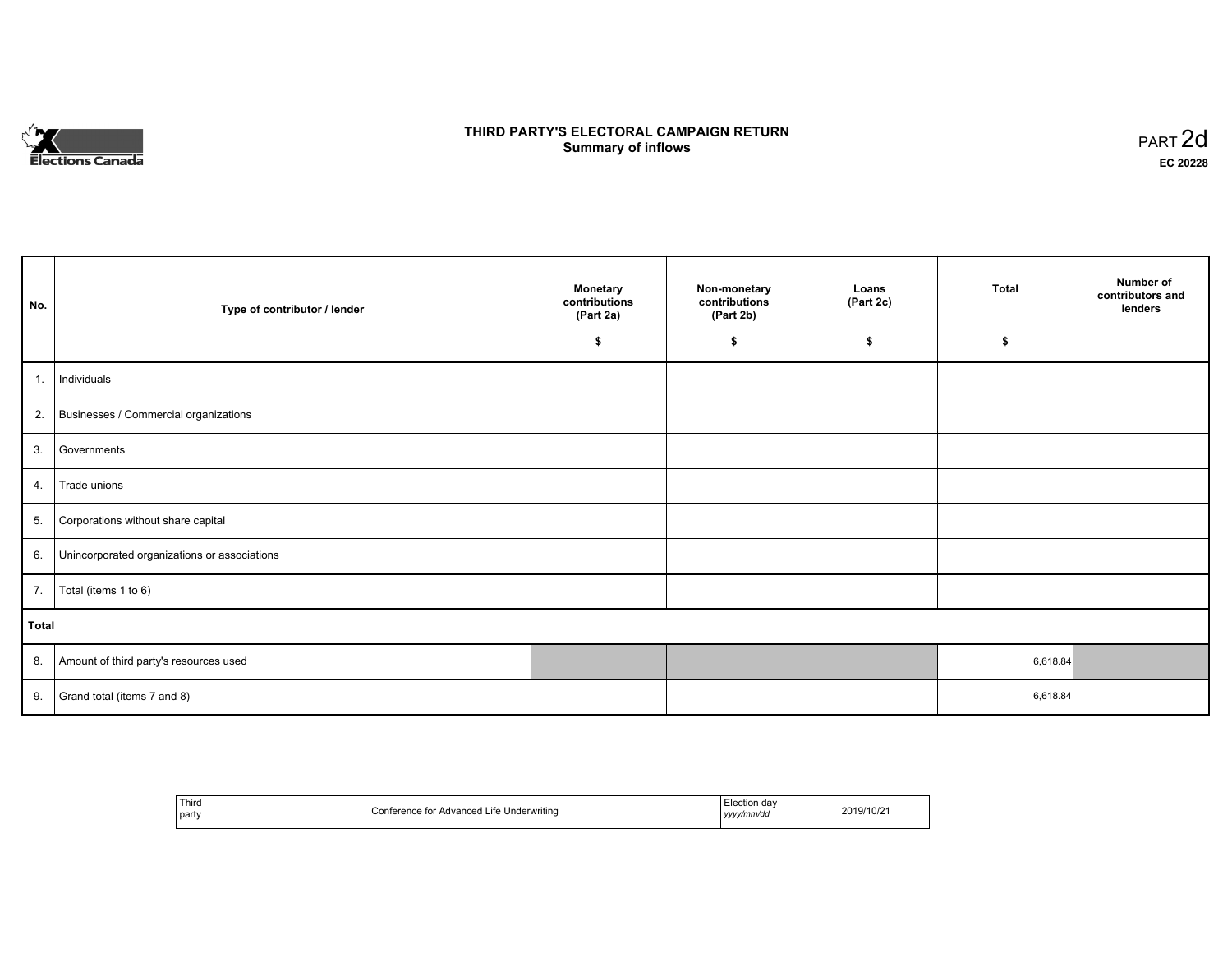

# **THIRD PARTY'S ELECTORAL CAMPAIGN RETURN S** ELECTORAL CAMPAIGN RETURN<br>Summary of inflows PART 2d

| No.   | Type of contributor / lender                 | <b>Monetary</b><br>contributions<br>(Part 2a)<br>\$ | Non-monetary<br>contributions<br>(Part 2b)<br>\$ | Loans<br>(Part 2c)<br>\$ | <b>Total</b><br>\$ | Number of<br>contributors and<br>lenders |
|-------|----------------------------------------------|-----------------------------------------------------|--------------------------------------------------|--------------------------|--------------------|------------------------------------------|
|       |                                              |                                                     |                                                  |                          |                    |                                          |
| 1.    | Individuals                                  |                                                     |                                                  |                          |                    |                                          |
|       | 2. Businesses / Commercial organizations     |                                                     |                                                  |                          |                    |                                          |
| 3.    | Governments                                  |                                                     |                                                  |                          |                    |                                          |
| 4.    | Trade unions                                 |                                                     |                                                  |                          |                    |                                          |
| 5.    | Corporations without share capital           |                                                     |                                                  |                          |                    |                                          |
| 6.    | Unincorporated organizations or associations |                                                     |                                                  |                          |                    |                                          |
| 7.    | Total (items 1 to 6)                         |                                                     |                                                  |                          |                    |                                          |
| Total |                                              |                                                     |                                                  |                          |                    |                                          |
| 8.    | Amount of third party's resources used       |                                                     |                                                  |                          | 6,618.84           |                                          |
| 9.    | Grand total (items 7 and 8)                  |                                                     |                                                  |                          | 6,618.84           |                                          |

| Third | Conference for Advanced Life Underwriting | ≞lection da∖ | 2019/10/21 |
|-------|-------------------------------------------|--------------|------------|
| party | . .                                       | yyyy/mm/dd   |            |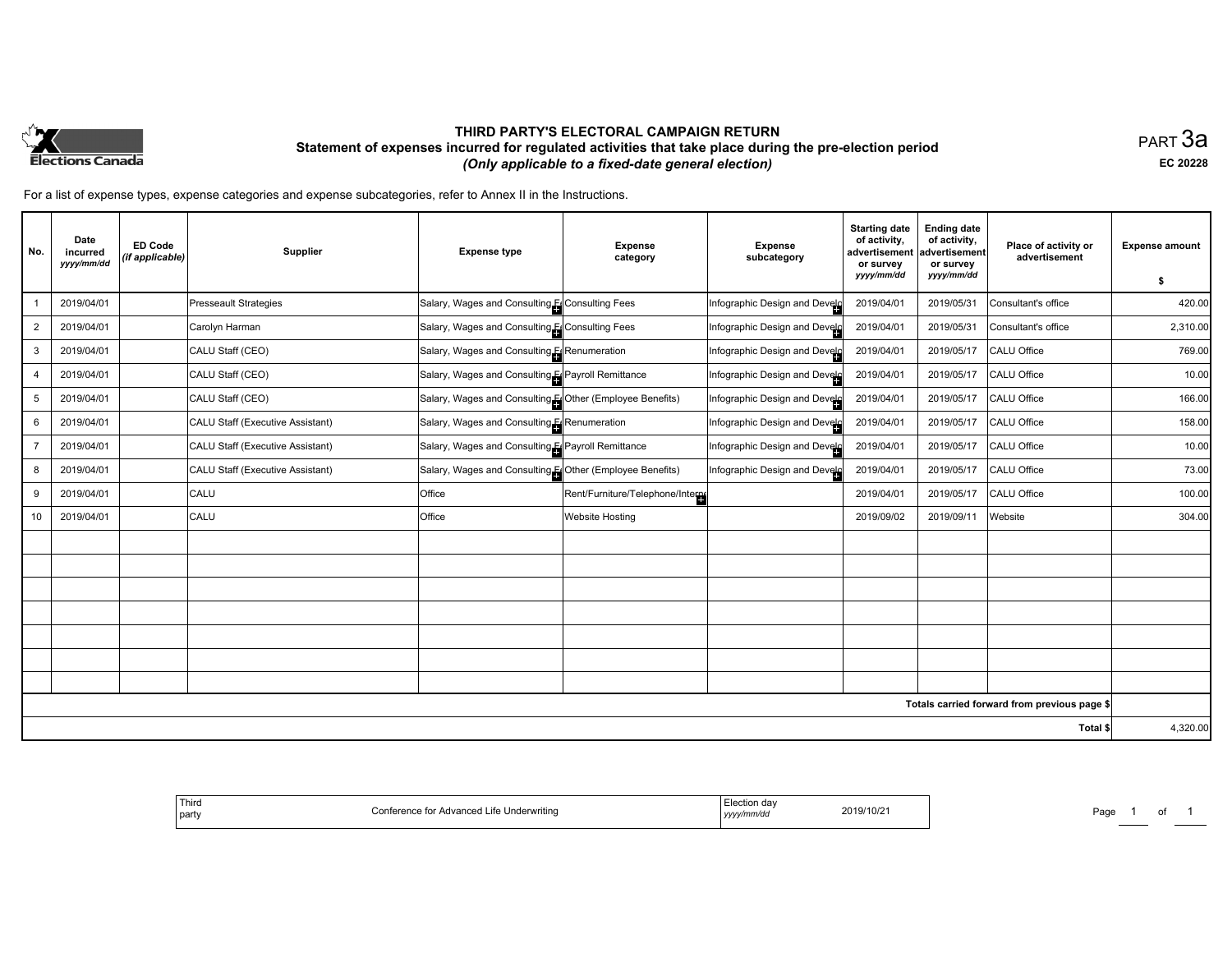

## **THIRD PARTY'S ELECTORAL CAMPAIGN RETURN Statement of expenses incurred for regulated activities that take place during the pre-election period**  *(Only applicable to a fixed-date general election)*

PART 3a **EC 20228**

For a list of expense types, expense categories and expense subcategories, refer to Annex II in the Instructions.

| No.            | Date<br>incurred<br>yyyy/mm/dd | <b>ED Code</b><br>(if applicable) | Supplier                         | <b>Expense type</b>                                      | <b>Expense</b><br>category        | <b>Expense</b><br>subcategory | <b>Starting date</b><br>of activity,<br>advertisement<br>or survey<br>yyyy/mm/dd | <b>Ending date</b><br>of activity,<br>advertisement<br>or survey<br>yyyy/mm/dd | Place of activity or<br>advertisement        | <b>Expense amount</b><br>\$ |
|----------------|--------------------------------|-----------------------------------|----------------------------------|----------------------------------------------------------|-----------------------------------|-------------------------------|----------------------------------------------------------------------------------|--------------------------------------------------------------------------------|----------------------------------------------|-----------------------------|
|                | 2019/04/01                     |                                   | <b>Presseault Strategies</b>     | Salary, Wages and Consulting EConsulting Fees            |                                   | Infographic Design and Develo | 2019/04/01                                                                       | 2019/05/31                                                                     | Consultant's office                          | 420.00                      |
| $\overline{2}$ | 2019/04/01                     |                                   | Carolyn Harman                   | Salary, Wages and Consulting El Consulting Fees          |                                   | Infographic Design and Develo | 2019/04/01                                                                       | 2019/05/31                                                                     | Consultant's office                          | 2,310.00                    |
| 3              | 2019/04/01                     |                                   | CALU Staff (CEO)                 | Salary, Wages and Consulting ERenumeration               |                                   | Infographic Design and Develo | 2019/04/01                                                                       | 2019/05/17                                                                     | CALU Office                                  | 769.00                      |
| 4              | 2019/04/01                     |                                   | CALU Staff (CEO)                 | Salary, Wages and Consulting El Payroll Remittance       |                                   | Infographic Design and Develo | 2019/04/01                                                                       | 2019/05/17                                                                     | CALU Office                                  | 10.00                       |
| 5              | 2019/04/01                     |                                   | CALU Staff (CEO)                 | Salary, Wages and Consulting [Cother (Employee Benefits) |                                   | Infographic Design and Develo | 2019/04/01                                                                       | 2019/05/17                                                                     | CALU Office                                  | 166.00                      |
| 6              | 2019/04/01                     |                                   | CALU Staff (Executive Assistant) | Salary, Wages and Consulting [Consumeration              |                                   | Infographic Design and Develo | 2019/04/01                                                                       | 2019/05/17                                                                     | CALU Office                                  | 158.00                      |
| $\overline{7}$ | 2019/04/01                     |                                   | CALU Staff (Executive Assistant) | Salary, Wages and Consulting El Payroll Remittance       |                                   | Infographic Design and Develo | 2019/04/01                                                                       | 2019/05/17                                                                     | CALU Office                                  | 10.00                       |
| 8              | 2019/04/01                     |                                   | CALU Staff (Executive Assistant) | Salary, Wages and Consulting [Cther (Employee Benefits)  |                                   | Infographic Design and Develo | 2019/04/01                                                                       | 2019/05/17                                                                     | CALU Office                                  | 73.00                       |
| 9              | 2019/04/01                     |                                   | <b>CALU</b>                      | Office                                                   | Rent/Furniture/Telephone/Internet |                               | 2019/04/01                                                                       | 2019/05/17                                                                     | CALU Office                                  | 100.00                      |
| 10             | 2019/04/01                     |                                   | CALU                             | Office                                                   | <b>Website Hosting</b>            |                               | 2019/09/02                                                                       | 2019/09/11                                                                     | Website                                      | 304.00                      |
|                |                                |                                   |                                  |                                                          |                                   |                               |                                                                                  |                                                                                |                                              |                             |
|                |                                |                                   |                                  |                                                          |                                   |                               |                                                                                  |                                                                                |                                              |                             |
|                |                                |                                   |                                  |                                                          |                                   |                               |                                                                                  |                                                                                |                                              |                             |
|                |                                |                                   |                                  |                                                          |                                   |                               |                                                                                  |                                                                                |                                              |                             |
|                |                                |                                   |                                  |                                                          |                                   |                               |                                                                                  |                                                                                |                                              |                             |
|                |                                |                                   |                                  |                                                          |                                   |                               |                                                                                  |                                                                                |                                              |                             |
|                |                                |                                   |                                  |                                                          |                                   |                               |                                                                                  |                                                                                |                                              |                             |
|                |                                |                                   |                                  |                                                          |                                   |                               |                                                                                  |                                                                                | Totals carried forward from previous page \$ |                             |
|                |                                |                                   |                                  |                                                          |                                   |                               |                                                                                  |                                                                                | Total \$                                     | 4,320.00                    |

| <sup>l</sup> Third<br>l party | e for Advanced Life<br>. Underwritina<br>Conference ∂ | ⊶Flection de<br>ua<br>2019/10/2<br>yyyy/mm/dd | Paq |
|-------------------------------|-------------------------------------------------------|-----------------------------------------------|-----|
|-------------------------------|-------------------------------------------------------|-----------------------------------------------|-----|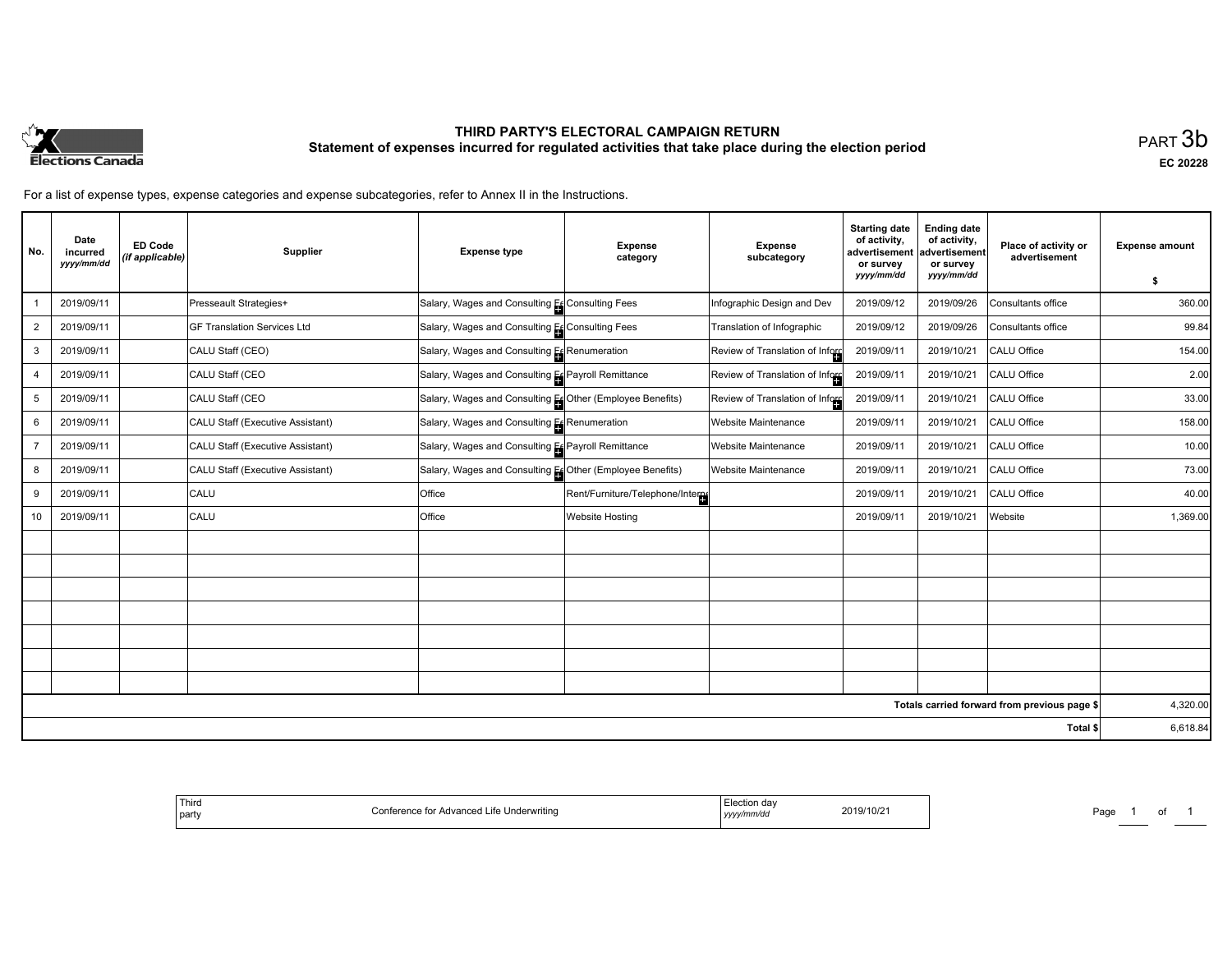

# **THIRD PARTY'S ELECTORAL CAMPAIGN RETURN Statement of expenses incurred for regulated activities that take place during the election period**<br>PART  $3\mathsf{b}$

**EC 20228**

For a list of expense types, expense categories and expense subcategories, refer to Annex II in the Instructions.

| No.            | Date<br>incurred<br>yyyy/mm/dd | <b>ED Code</b><br>(if applicable) | Supplier                           | <b>Expense type</b>                                       | <b>Expense</b><br>category       | <b>Expense</b><br>subcategory   | <b>Starting date</b><br>of activity,<br>advertisement<br>or survey<br>yyyy/mm/dd | <b>Ending date</b><br>of activity,<br>advertisement<br>or survey<br>yyyy/mm/dd | Place of activity or<br>advertisement        | <b>Expense amount</b> |
|----------------|--------------------------------|-----------------------------------|------------------------------------|-----------------------------------------------------------|----------------------------------|---------------------------------|----------------------------------------------------------------------------------|--------------------------------------------------------------------------------|----------------------------------------------|-----------------------|
|                | 2019/09/11                     |                                   |                                    |                                                           |                                  |                                 | 2019/09/12                                                                       |                                                                                | Consultants office                           | s.<br>360.00          |
|                |                                |                                   | Presseault Strategies+             | Salary, Wages and Consulting Es Consulting Fees           |                                  | Infographic Design and Dev      |                                                                                  | 2019/09/26                                                                     |                                              |                       |
| 2              | 2019/09/11                     |                                   | <b>GF Translation Services Ltd</b> | Salary, Wages and Consulting Es Consulting Fees           |                                  | Translation of Infographic      | 2019/09/12                                                                       | 2019/09/26                                                                     | Consultants office                           | 99.84                 |
| 3              | 2019/09/11                     |                                   | CALU Staff (CEO)                   | Salary, Wages and Consulting Es Renumeration              |                                  | Review of Translation of Inform | 2019/09/11                                                                       | 2019/10/21                                                                     | CALU Office                                  | 154.00                |
| $\overline{4}$ | 2019/09/11                     |                                   | CALU Staff (CEO                    | Salary, Wages and Consulting Es Payroll Remittance        |                                  | Review of Translation of Inford | 2019/09/11                                                                       | 2019/10/21                                                                     | CALU Office                                  | 2.00                  |
| 5              | 2019/09/11                     |                                   | CALU Staff (CEO                    | Salary, Wages and Consulting Es Other (Employee Benefits) |                                  | Review of Translation of Inford | 2019/09/11                                                                       | 2019/10/21                                                                     | CALU Office                                  | 33.00                 |
| 6              | 2019/09/11                     |                                   | CALU Staff (Executive Assistant)   | Salary, Wages and Consulting Es Renumeration              |                                  | <b>Website Maintenance</b>      | 2019/09/11                                                                       | 2019/10/21                                                                     | CALU Office                                  | 158.00                |
|                | 2019/09/11                     |                                   | CALU Staff (Executive Assistant)   | Salary, Wages and Consulting Es Payroll Remittance        |                                  | <b>Website Maintenance</b>      | 2019/09/11                                                                       | 2019/10/21                                                                     | CALU Office                                  | 10.00                 |
| 8              | 2019/09/11                     |                                   | CALU Staff (Executive Assistant)   | Salary, Wages and Consulting Es Other (Employee Benefits) |                                  | <b>Website Maintenance</b>      | 2019/09/11                                                                       | 2019/10/21                                                                     | CALU Office                                  | 73.00                 |
| 9              | 2019/09/11                     |                                   | CALU                               | Office                                                    | Rent/Furniture/Telephone/Interne |                                 | 2019/09/11                                                                       | 2019/10/21                                                                     | CALU Office                                  | 40.00                 |
| 10             | 2019/09/11                     |                                   | CALU                               | Office                                                    | <b>Website Hosting</b>           |                                 | 2019/09/11                                                                       | 2019/10/21                                                                     | Website                                      | 1,369.00              |
|                |                                |                                   |                                    |                                                           |                                  |                                 |                                                                                  |                                                                                |                                              |                       |
|                |                                |                                   |                                    |                                                           |                                  |                                 |                                                                                  |                                                                                |                                              |                       |
|                |                                |                                   |                                    |                                                           |                                  |                                 |                                                                                  |                                                                                |                                              |                       |
|                |                                |                                   |                                    |                                                           |                                  |                                 |                                                                                  |                                                                                |                                              |                       |
|                |                                |                                   |                                    |                                                           |                                  |                                 |                                                                                  |                                                                                |                                              |                       |
|                |                                |                                   |                                    |                                                           |                                  |                                 |                                                                                  |                                                                                |                                              |                       |
|                |                                |                                   |                                    |                                                           |                                  |                                 |                                                                                  |                                                                                |                                              |                       |
|                |                                |                                   |                                    |                                                           |                                  |                                 |                                                                                  |                                                                                | Totals carried forward from previous page \$ | 4,320.00              |
|                |                                |                                   |                                    |                                                           |                                  |                                 |                                                                                  |                                                                                | Total \$                                     | 6,618.84              |

| -lection<br>2019/10/21<br>.<br>™wv/mm/da<br>, уууул | : Underwritina<br>nnt<br>Advanced |
|-----------------------------------------------------|-----------------------------------|
|-----------------------------------------------------|-----------------------------------|

Page 1 of